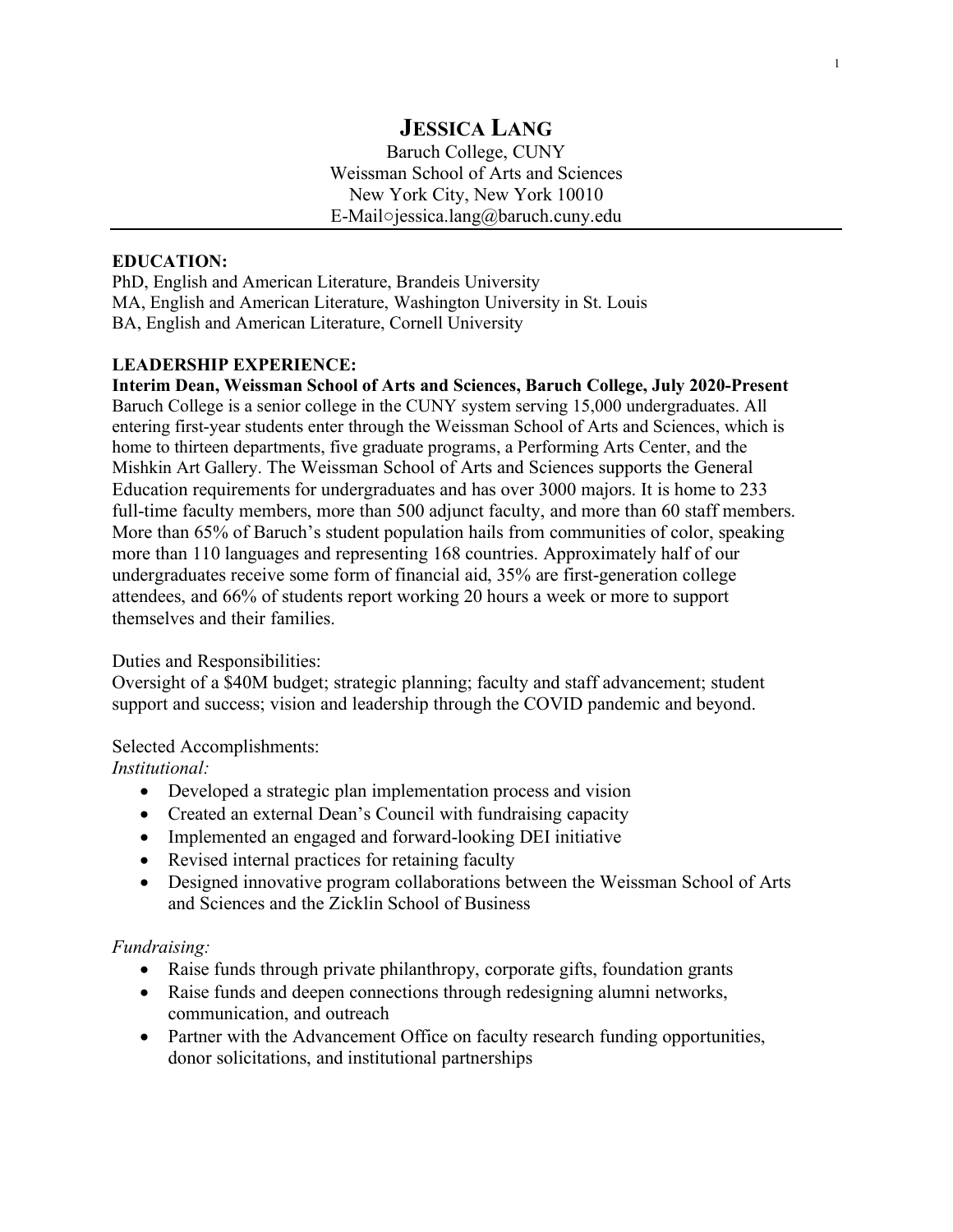# **JESSICA LANG**

Baruch College, CUNY Weissman School of Arts and Sciences New York City, New York 10010 E-Mail○jessica.lang@baruch.cuny.edu

### **EDUCATION:**

PhD, English and American Literature, Brandeis University MA, English and American Literature, Washington University in St. Louis BA, English and American Literature, Cornell University

### **LEADERSHIP EXPERIENCE:**

**Interim Dean, Weissman School of Arts and Sciences, Baruch College, July 2020-Present** Baruch College is a senior college in the CUNY system serving 15,000 undergraduates. All entering first-year students enter through the Weissman School of Arts and Sciences, which is home to thirteen departments, five graduate programs, a Performing Arts Center, and the Mishkin Art Gallery. The Weissman School of Arts and Sciences supports the General Education requirements for undergraduates and has over 3000 majors. It is home to 233 full-time faculty members, more than 500 adjunct faculty, and more than 60 staff members. More than 65% of Baruch's student population hails from communities of color, speaking more than 110 languages and representing 168 countries. Approximately half of our undergraduates receive some form of financial aid, 35% are first-generation college attendees, and 66% of students report working 20 hours a week or more to support themselves and their families.

### Duties and Responsibilities:

Oversight of a \$40M budget; strategic planning; faculty and staff advancement; student support and success; vision and leadership through the COVID pandemic and beyond.

# Selected Accomplishments:

*Institutional:*

- Developed a strategic plan implementation process and vision
- Created an external Dean's Council with fundraising capacity
- Implemented an engaged and forward-looking DEI initiative
- Revised internal practices for retaining faculty
- Designed innovative program collaborations between the Weissman School of Arts and Sciences and the Zicklin School of Business

# *Fundraising:*

- Raise funds through private philanthropy, corporate gifts, foundation grants
- Raise funds and deepen connections through redesigning alumni networks, communication, and outreach
- Partner with the Advancement Office on faculty research funding opportunities, donor solicitations, and institutional partnerships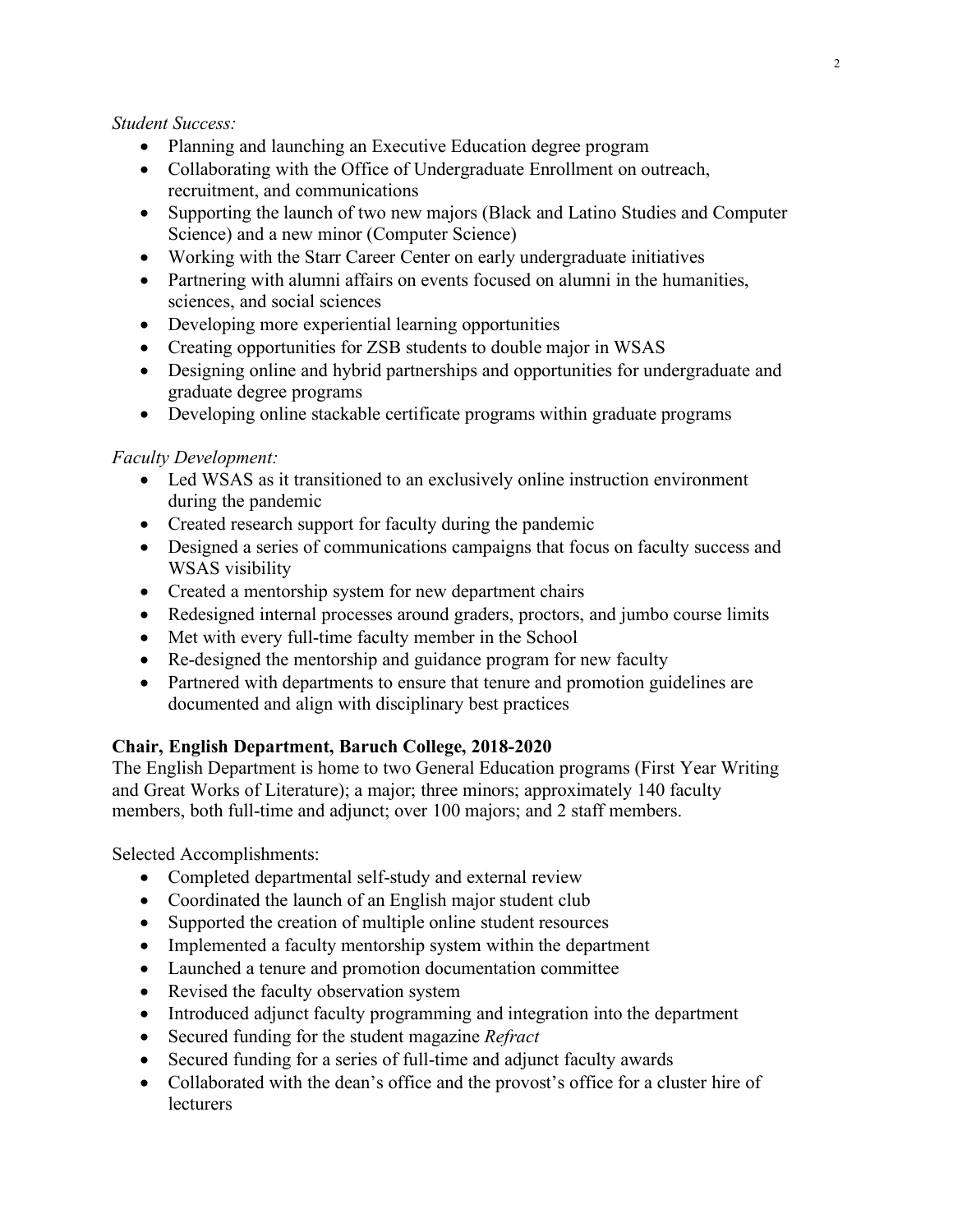# *Student Success:*

- Planning and launching an Executive Education degree program
- Collaborating with the Office of Undergraduate Enrollment on outreach, recruitment, and communications
- Supporting the launch of two new majors (Black and Latino Studies and Computer Science) and a new minor (Computer Science)
- Working with the Starr Career Center on early undergraduate initiatives
- Partnering with alumni affairs on events focused on alumni in the humanities, sciences, and social sciences
- Developing more experiential learning opportunities
- Creating opportunities for ZSB students to double major in WSAS
- Designing online and hybrid partnerships and opportunities for undergraduate and graduate degree programs
- Developing online stackable certificate programs within graduate programs

# *Faculty Development:*

- Led WSAS as it transitioned to an exclusively online instruction environment during the pandemic
- Created research support for faculty during the pandemic
- Designed a series of communications campaigns that focus on faculty success and WSAS visibility
- Created a mentorship system for new department chairs
- Redesigned internal processes around graders, proctors, and jumbo course limits
- Met with every full-time faculty member in the School
- Re-designed the mentorship and guidance program for new faculty
- Partnered with departments to ensure that tenure and promotion guidelines are documented and align with disciplinary best practices

# **Chair, English Department, Baruch College, 2018-2020**

The English Department is home to two General Education programs (First Year Writing and Great Works of Literature); a major; three minors; approximately 140 faculty members, both full-time and adjunct; over 100 majors; and 2 staff members.

Selected Accomplishments:

- Completed departmental self-study and external review
- Coordinated the launch of an English major student club
- Supported the creation of multiple online student resources
- Implemented a faculty mentorship system within the department
- Launched a tenure and promotion documentation committee
- Revised the faculty observation system
- Introduced adjunct faculty programming and integration into the department
- Secured funding for the student magazine *Refract*
- Secured funding for a series of full-time and adjunct faculty awards
- Collaborated with the dean's office and the provost's office for a cluster hire of lecturers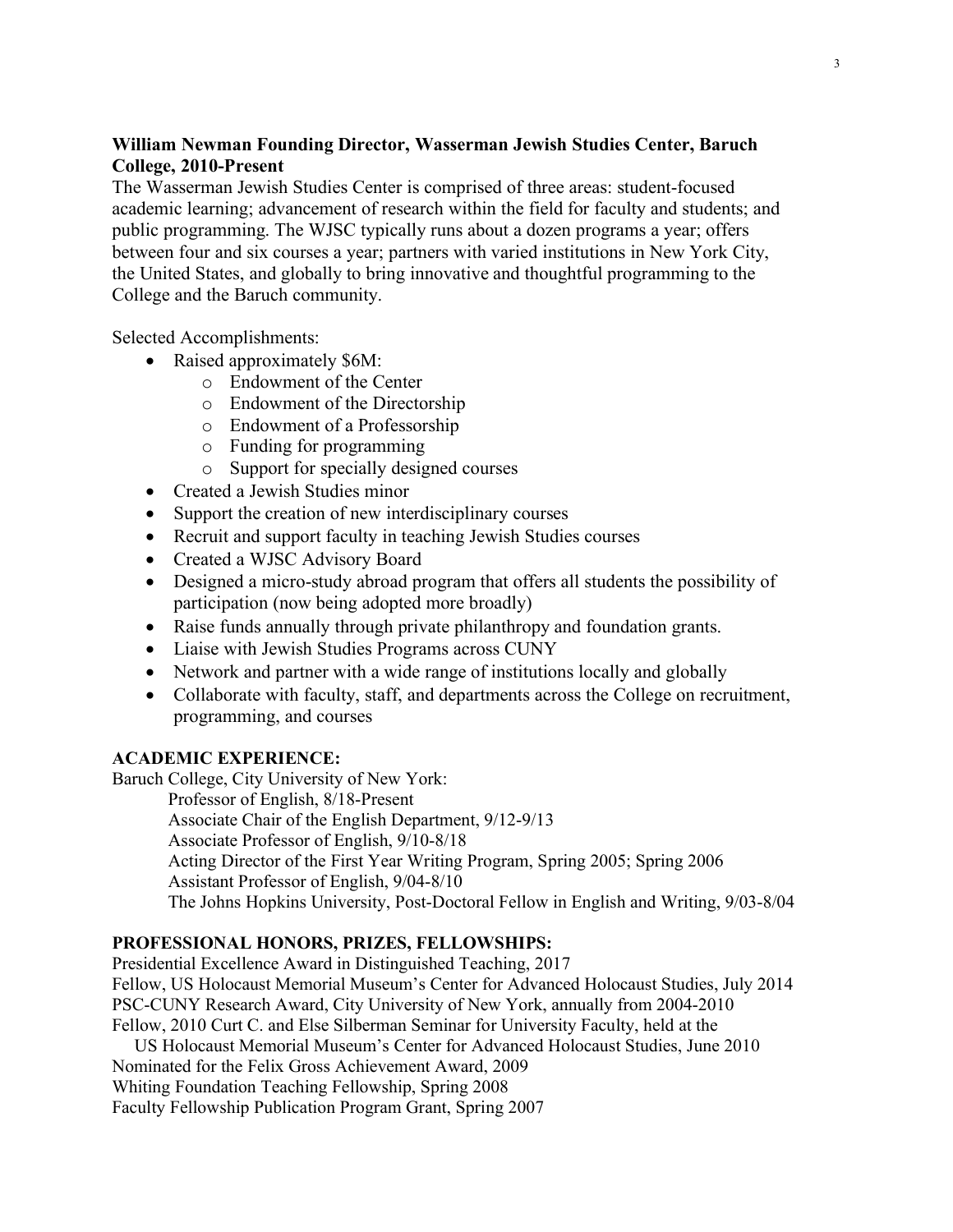# **William Newman Founding Director, Wasserman Jewish Studies Center, Baruch College, 2010-Present**

The Wasserman Jewish Studies Center is comprised of three areas: student-focused academic learning; advancement of research within the field for faculty and students; and public programming. The WJSC typically runs about a dozen programs a year; offers between four and six courses a year; partners with varied institutions in New York City, the United States, and globally to bring innovative and thoughtful programming to the College and the Baruch community.

Selected Accomplishments:

- Raised approximately \$6M:
	- o Endowment of the Center
	- o Endowment of the Directorship
	- o Endowment of a Professorship
	- o Funding for programming
	- o Support for specially designed courses
- Created a Jewish Studies minor
- Support the creation of new interdisciplinary courses
- Recruit and support faculty in teaching Jewish Studies courses
- Created a WJSC Advisory Board
- Designed a micro-study abroad program that offers all students the possibility of participation (now being adopted more broadly)
- Raise funds annually through private philanthropy and foundation grants.
- Liaise with Jewish Studies Programs across CUNY
- Network and partner with a wide range of institutions locally and globally
- Collaborate with faculty, staff, and departments across the College on recruitment, programming, and courses

### **ACADEMIC EXPERIENCE:**

Baruch College, City University of New York: Professor of English, 8/18-Present Associate Chair of the English Department, 9/12-9/13 Associate Professor of English, 9/10-8/18 Acting Director of the First Year Writing Program, Spring 2005; Spring 2006 Assistant Professor of English, 9/04-8/10 The Johns Hopkins University, Post-Doctoral Fellow in English and Writing, 9/03-8/04

### **PROFESSIONAL HONORS, PRIZES, FELLOWSHIPS:**

Presidential Excellence Award in Distinguished Teaching, 2017 Fellow, US Holocaust Memorial Museum's Center for Advanced Holocaust Studies, July 2014 PSC-CUNY Research Award, City University of New York, annually from 2004-2010 Fellow, 2010 Curt C. and Else Silberman Seminar for University Faculty, held at the US Holocaust Memorial Museum's Center for Advanced Holocaust Studies, June 2010 Nominated for the Felix Gross Achievement Award, 2009

Whiting Foundation Teaching Fellowship, Spring 2008

Faculty Fellowship Publication Program Grant, Spring 2007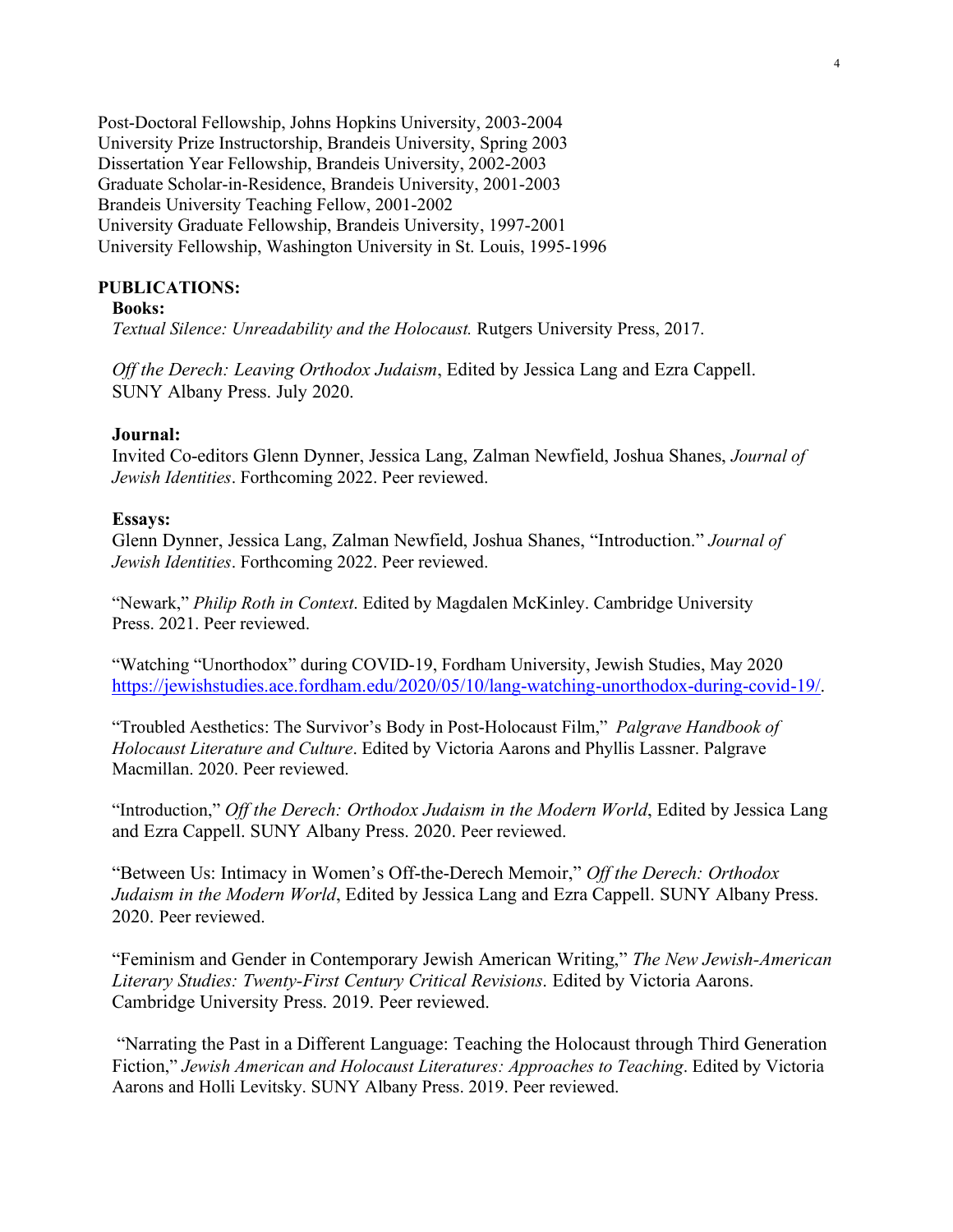Post-Doctoral Fellowship, Johns Hopkins University, 2003-2004 University Prize Instructorship, Brandeis University, Spring 2003 Dissertation Year Fellowship, Brandeis University, 2002-2003 Graduate Scholar-in-Residence, Brandeis University, 2001-2003 Brandeis University Teaching Fellow, 2001-2002 University Graduate Fellowship, Brandeis University, 1997-2001 University Fellowship, Washington University in St. Louis, 1995-1996

# **PUBLICATIONS:**

### **Books:**

*Textual Silence: Unreadability and the Holocaust.* Rutgers University Press, 2017.

*Off the Derech: Leaving Orthodox Judaism*, Edited by Jessica Lang and Ezra Cappell. SUNY Albany Press. July 2020.

#### **Journal:**

Invited Co-editors Glenn Dynner, Jessica Lang, Zalman Newfield, Joshua Shanes, *Journal of Jewish Identities*. Forthcoming 2022. Peer reviewed.

#### **Essays:**

Glenn Dynner, Jessica Lang, Zalman Newfield, Joshua Shanes, "Introduction." *Journal of Jewish Identities*. Forthcoming 2022. Peer reviewed.

"Newark," *Philip Roth in Context*. Edited by Magdalen McKinley. Cambridge University Press. 2021. Peer reviewed.

"Watching "Unorthodox" during COVID-19, Fordham University, Jewish Studies, May 2020 [https://jewishstudies.ace.fordham.edu/2020/05/10/lang-watching-unorthodox-during-covid-19/.](https://jewishstudies.ace.fordham.edu/2020/05/10/lang-watching-unorthodox-during-covid-19/)

"Troubled Aesthetics: The Survivor's Body in Post-Holocaust Film," *Palgrave Handbook of Holocaust Literature and Culture*. Edited by Victoria Aarons and Phyllis Lassner. Palgrave Macmillan. 2020. Peer reviewed.

"Introduction," *Off the Derech: Orthodox Judaism in the Modern World*, Edited by Jessica Lang and Ezra Cappell. SUNY Albany Press. 2020. Peer reviewed.

"Between Us: Intimacy in Women's Off-the-Derech Memoir," *Off the Derech: Orthodox Judaism in the Modern World*, Edited by Jessica Lang and Ezra Cappell. SUNY Albany Press. 2020. Peer reviewed.

"Feminism and Gender in Contemporary Jewish American Writing," *The New Jewish-American Literary Studies: Twenty-First Century Critical Revisions*. Edited by Victoria Aarons. Cambridge University Press. 2019. Peer reviewed.

"Narrating the Past in a Different Language: Teaching the Holocaust through Third Generation Fiction," *Jewish American and Holocaust Literatures: Approaches to Teaching*. Edited by Victoria Aarons and Holli Levitsky. SUNY Albany Press. 2019. Peer reviewed.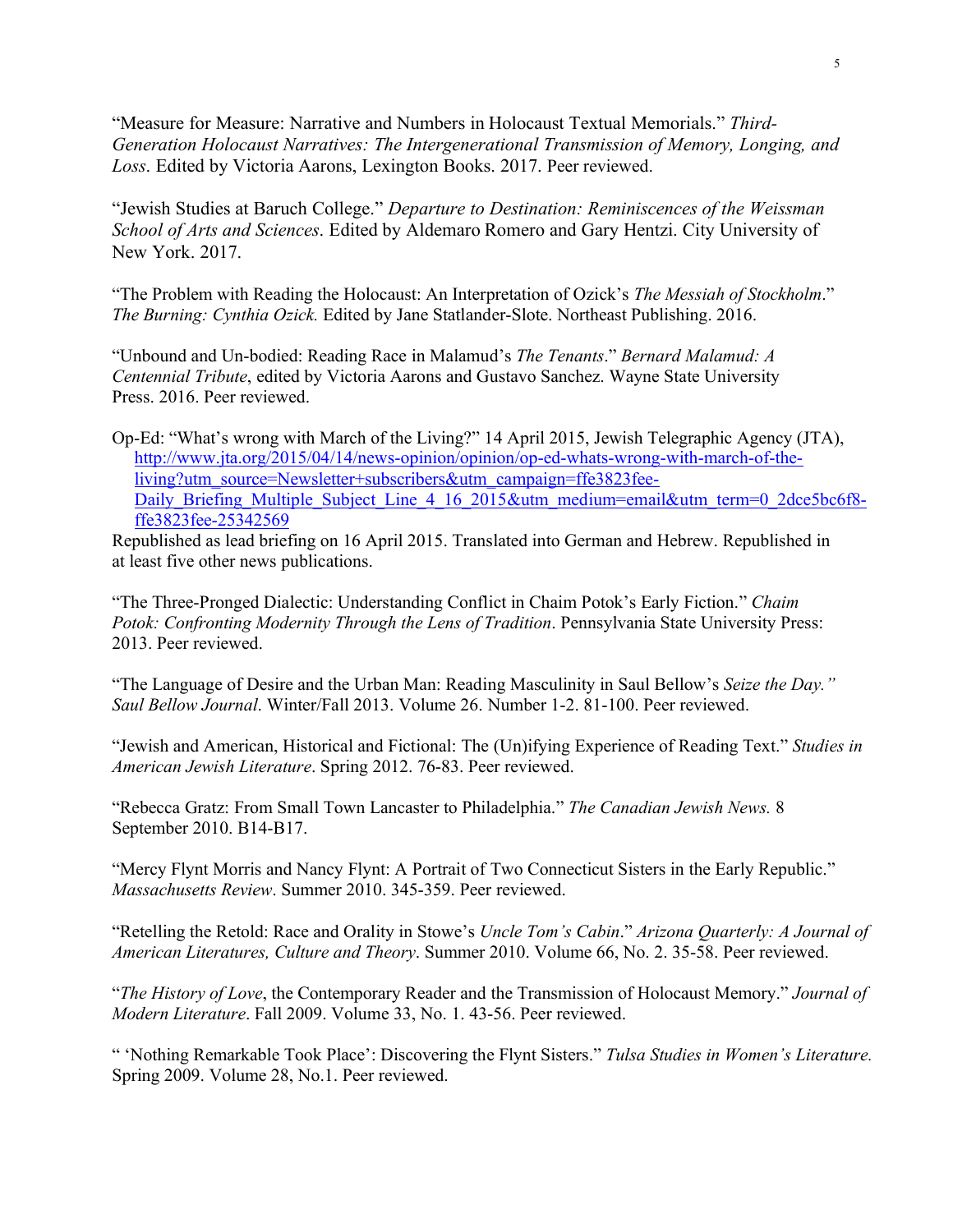"Measure for Measure: Narrative and Numbers in Holocaust Textual Memorials." *Third-Generation Holocaust Narratives: The Intergenerational Transmission of Memory, Longing, and Loss*. Edited by Victoria Aarons, Lexington Books. 2017. Peer reviewed.

"Jewish Studies at Baruch College." *Departure to Destination: Reminiscences of the Weissman School of Arts and Sciences*. Edited by Aldemaro Romero and Gary Hentzi. City University of New York. 2017.

"The Problem with Reading the Holocaust: An Interpretation of Ozick's *The Messiah of Stockholm*." *The Burning: Cynthia Ozick.* Edited by Jane Statlander-Slote. Northeast Publishing. 2016.

"Unbound and Un-bodied: Reading Race in Malamud's *The Tenants*." *Bernard Malamud: A Centennial Tribute*, edited by Victoria Aarons and Gustavo Sanchez. Wayne State University Press. 2016. Peer reviewed.

Op-Ed: "What's wrong with March of the Living?" 14 April 2015, Jewish Telegraphic Agency (JTA), [http://www.jta.org/2015/04/14/news-opinion/opinion/op-ed-whats-wrong-with-march-of-the](http://www.jta.org/2015/04/14/news-opinion/opinion/op-ed-whats-wrong-with-march-of-the-living?utm_source=Newsletter+subscribers&utm_campaign=ffe3823fee-Daily_Briefing_Multiple_Subject_Line_4_16_2015&utm_medium=email&utm_term=0_2dce5bc6f8-ffe3823fee-25342569)[living?utm\\_source=Newsletter+subscribers&utm\\_campaign=ffe3823fee-](http://www.jta.org/2015/04/14/news-opinion/opinion/op-ed-whats-wrong-with-march-of-the-living?utm_source=Newsletter+subscribers&utm_campaign=ffe3823fee-Daily_Briefing_Multiple_Subject_Line_4_16_2015&utm_medium=email&utm_term=0_2dce5bc6f8-ffe3823fee-25342569)Daily Briefing Multiple Subject Line 4 16 2015&utm\_medium=email&utm\_term=0\_2dce5bc6f8[ffe3823fee-25342569](http://www.jta.org/2015/04/14/news-opinion/opinion/op-ed-whats-wrong-with-march-of-the-living?utm_source=Newsletter+subscribers&utm_campaign=ffe3823fee-Daily_Briefing_Multiple_Subject_Line_4_16_2015&utm_medium=email&utm_term=0_2dce5bc6f8-ffe3823fee-25342569)

Republished as lead briefing on 16 April 2015. Translated into German and Hebrew. Republished in at least five other news publications.

"The Three-Pronged Dialectic: Understanding Conflict in Chaim Potok's Early Fiction." *Chaim Potok: Confronting Modernity Through the Lens of Tradition*. Pennsylvania State University Press: 2013. Peer reviewed.

"The Language of Desire and the Urban Man: Reading Masculinity in Saul Bellow's *Seize the Day." Saul Bellow Journal*. Winter/Fall 2013. Volume 26. Number 1-2. 81-100. Peer reviewed.

"Jewish and American, Historical and Fictional: The (Un)ifying Experience of Reading Text." *Studies in American Jewish Literature*. Spring 2012. 76-83. Peer reviewed.

"Rebecca Gratz: From Small Town Lancaster to Philadelphia." *The Canadian Jewish News.* 8 September 2010. B14-B17.

"Mercy Flynt Morris and Nancy Flynt: A Portrait of Two Connecticut Sisters in the Early Republic." *Massachusetts Review*. Summer 2010. 345-359. Peer reviewed.

"Retelling the Retold: Race and Orality in Stowe's *Uncle Tom's Cabin*." *Arizona Quarterly: A Journal of American Literatures, Culture and Theory*. Summer 2010. Volume 66, No. 2. 35-58. Peer reviewed.

"*The History of Love*, the Contemporary Reader and the Transmission of Holocaust Memory." *Journal of Modern Literature*. Fall 2009. Volume 33, No. 1. 43-56. Peer reviewed.

" 'Nothing Remarkable Took Place': Discovering the Flynt Sisters." *Tulsa Studies in Women's Literature.* Spring 2009. Volume 28, No.1. Peer reviewed.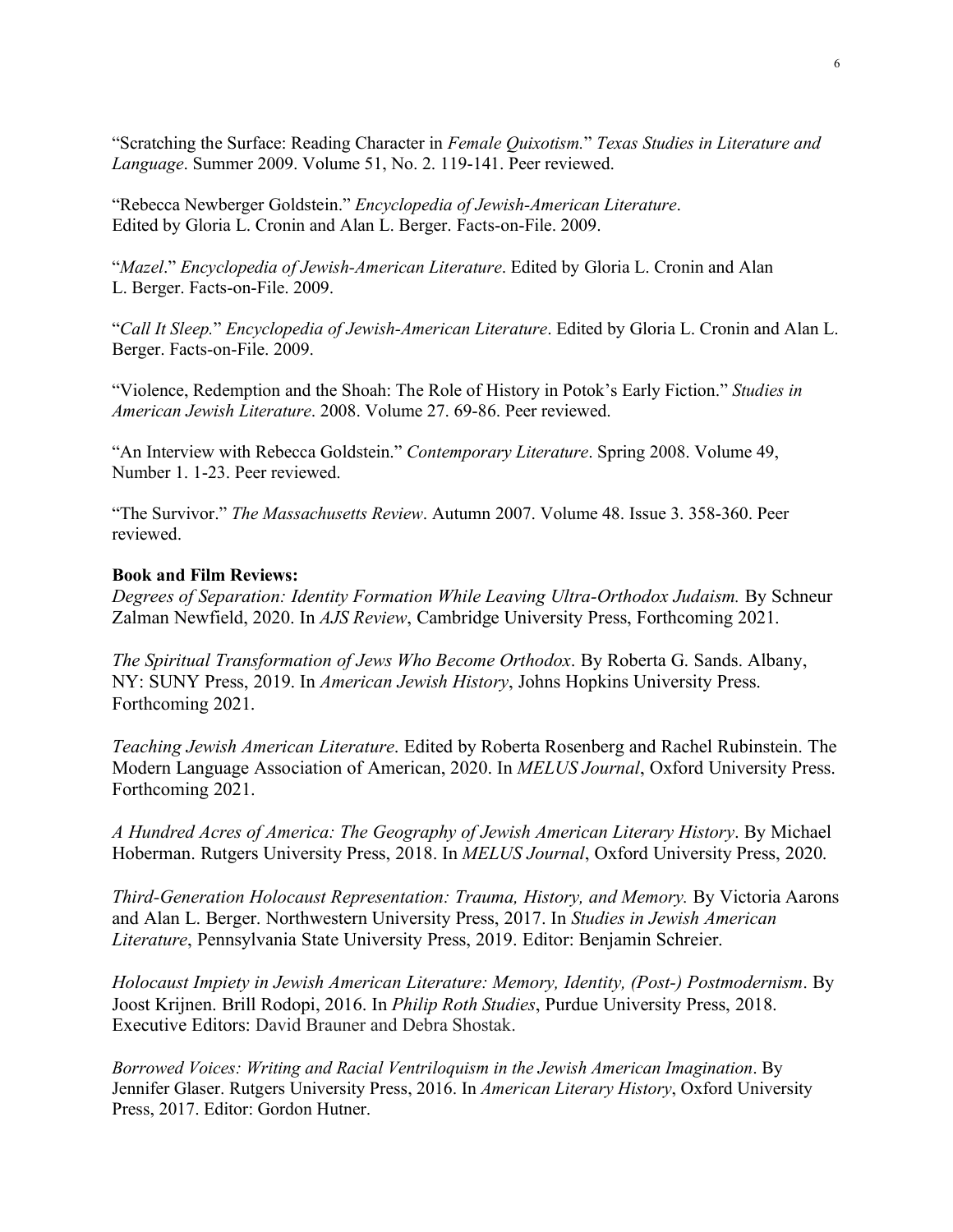"Scratching the Surface: Reading Character in *Female Quixotism.*" *Texas Studies in Literature and Language*. Summer 2009. Volume 51, No. 2. 119-141. Peer reviewed.

"Rebecca Newberger Goldstein." *Encyclopedia of Jewish-American Literature*. Edited by Gloria L. Cronin and Alan L. Berger. Facts-on-File. 2009.

"*Mazel*." *Encyclopedia of Jewish-American Literature*. Edited by Gloria L. Cronin and Alan L. Berger. Facts-on-File. 2009.

"*Call It Sleep.*" *Encyclopedia of Jewish-American Literature*. Edited by Gloria L. Cronin and Alan L. Berger. Facts-on-File. 2009.

"Violence, Redemption and the Shoah: The Role of History in Potok's Early Fiction." *Studies in American Jewish Literature*. 2008. Volume 27. 69-86. Peer reviewed.

"An Interview with Rebecca Goldstein." *Contemporary Literature*. Spring 2008. Volume 49, Number 1. 1-23. Peer reviewed.

"The Survivor." *The Massachusetts Review*. Autumn 2007. Volume 48. Issue 3. 358-360. Peer reviewed.

#### **Book and Film Reviews:**

*Degrees of Separation: Identity Formation While Leaving Ultra-Orthodox Judaism.* By Schneur Zalman Newfield, 2020. In *AJS Review*, Cambridge University Press, Forthcoming 2021.

*The Spiritual Transformation of Jews Who Become Orthodox*. By Roberta G. Sands. Albany, NY: SUNY Press, 2019. In *American Jewish History*, Johns Hopkins University Press. Forthcoming 2021.

*Teaching Jewish American Literature*. Edited by Roberta Rosenberg and Rachel Rubinstein. The Modern Language Association of American, 2020. In *MELUS Journal*, Oxford University Press. Forthcoming 2021.

*A Hundred Acres of America: The Geography of Jewish American Literary History*. By Michael Hoberman. Rutgers University Press, 2018. In *MELUS Journal*, Oxford University Press, 2020.

*Third-Generation Holocaust Representation: Trauma, History, and Memory.* By Victoria Aarons and Alan L. Berger. Northwestern University Press, 2017. In *Studies in Jewish American Literature*, Pennsylvania State University Press, 2019. Editor: Benjamin Schreier.

*Holocaust Impiety in Jewish American Literature: Memory, Identity, (Post-) Postmodernism*. By Joost Krijnen. Brill Rodopi, 2016. In *Philip Roth Studies*, Purdue University Press, 2018. Executive Editors: David Brauner and Debra Shostak.

*Borrowed Voices: Writing and Racial Ventriloquism in the Jewish American Imagination*. By Jennifer Glaser. Rutgers University Press, 2016. In *American Literary History*, Oxford University Press, 2017. Editor: Gordon Hutner.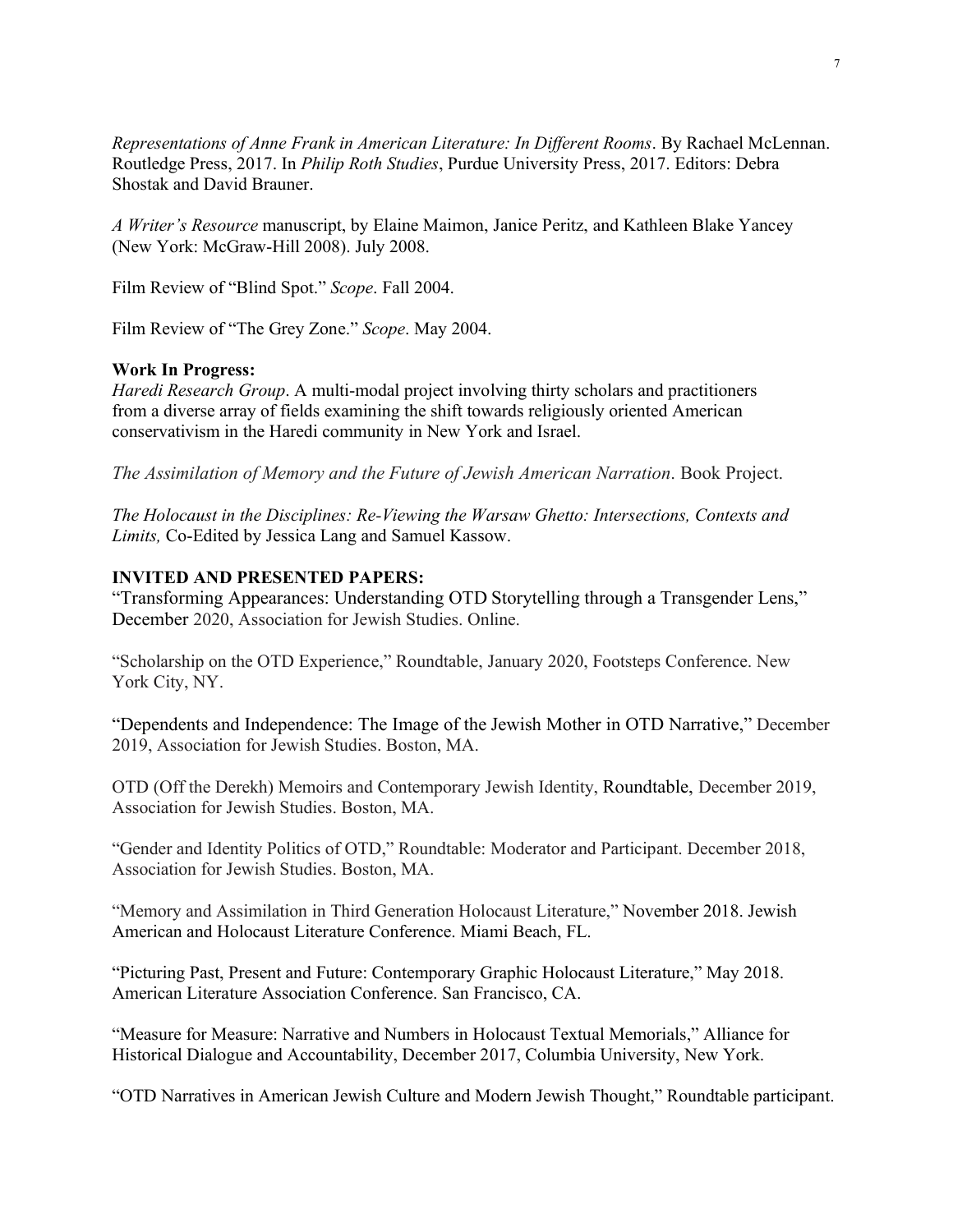*Representations of Anne Frank in American Literature: In Different Rooms*. By Rachael McLennan. Routledge Press, 2017. In *Philip Roth Studies*, Purdue University Press, 2017. Editors: Debra Shostak and David Brauner.

*A Writer's Resource* manuscript, by Elaine Maimon, Janice Peritz, and Kathleen Blake Yancey (New York: McGraw-Hill 2008). July 2008.

Film Review of "Blind Spot." *Scope*. Fall 2004.

Film Review of "The Grey Zone." *Scope*. May 2004.

#### **Work In Progress:**

*Haredi Research Group*. A multi-modal project involving thirty scholars and practitioners from a diverse array of fields examining the shift towards religiously oriented American conservativism in the Haredi community in New York and Israel.

*The Assimilation of Memory and the Future of Jewish American Narration*. Book Project.

*The Holocaust in the Disciplines: Re-Viewing the Warsaw Ghetto: Intersections, Contexts and Limits,* Co-Edited by Jessica Lang and Samuel Kassow.

#### **INVITED AND PRESENTED PAPERS:**

"Transforming Appearances: Understanding OTD Storytelling through a Transgender Lens," December 2020, Association for Jewish Studies. Online.

"Scholarship on the OTD Experience," Roundtable, January 2020, Footsteps Conference. New York City, NY.

"Dependents and Independence: The Image of the Jewish Mother in OTD Narrative," December 2019, Association for Jewish Studies. Boston, MA.

OTD (Off the Derekh) Memoirs and Contemporary Jewish Identity, Roundtable, December 2019, Association for Jewish Studies. Boston, MA.

"Gender and Identity Politics of OTD," Roundtable: Moderator and Participant. December 2018, Association for Jewish Studies. Boston, MA.

"Memory and Assimilation in Third Generation Holocaust Literature," November 2018. Jewish American and Holocaust Literature Conference. Miami Beach, FL.

"Picturing Past, Present and Future: Contemporary Graphic Holocaust Literature," May 2018. American Literature Association Conference. San Francisco, CA.

"Measure for Measure: Narrative and Numbers in Holocaust Textual Memorials," Alliance for Historical Dialogue and Accountability, December 2017, Columbia University, New York.

"OTD Narratives in American Jewish Culture and Modern Jewish Thought," Roundtable participant.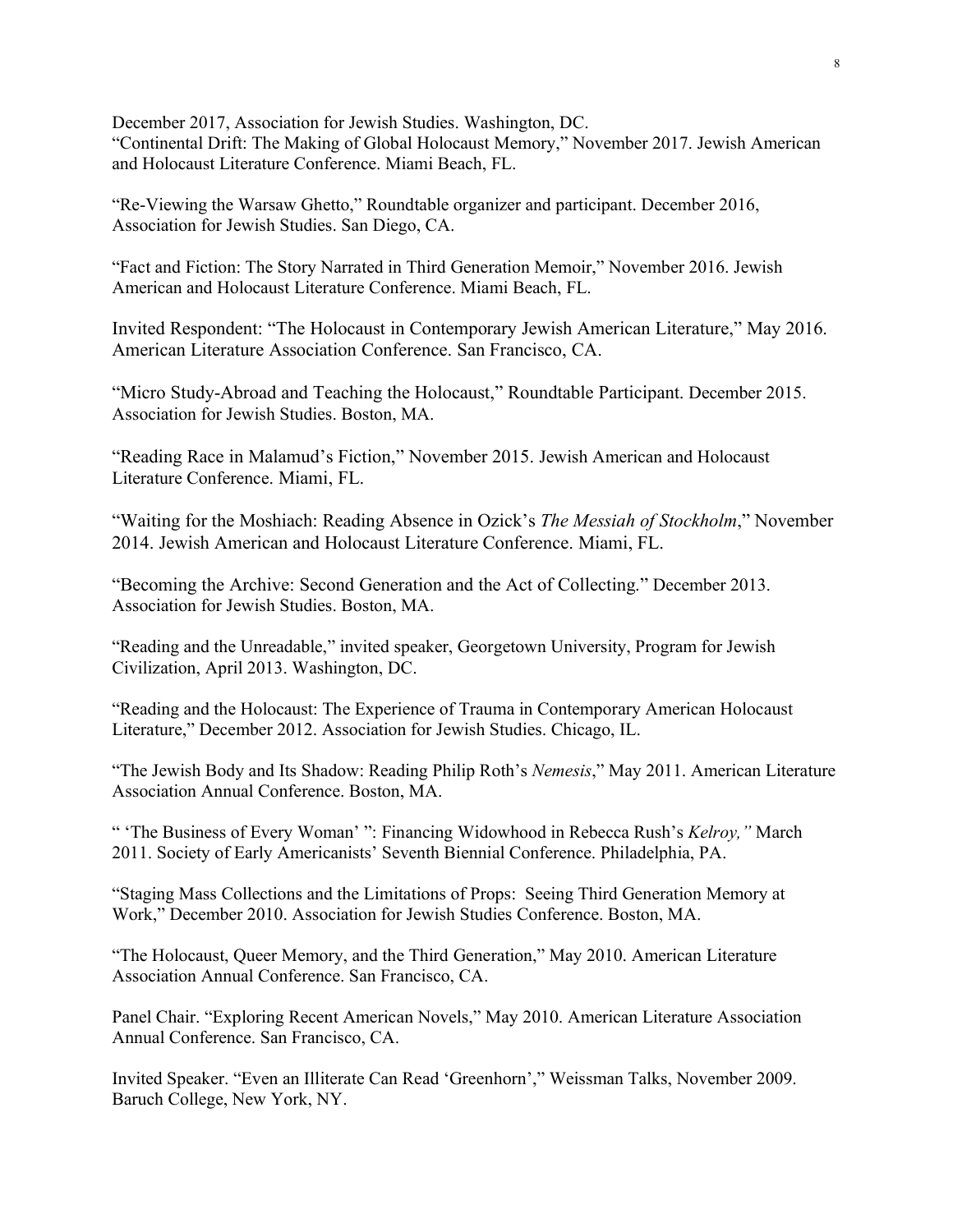December 2017, Association for Jewish Studies. Washington, DC. "Continental Drift: The Making of Global Holocaust Memory," November 2017. Jewish American and Holocaust Literature Conference. Miami Beach, FL.

"Re-Viewing the Warsaw Ghetto," Roundtable organizer and participant. December 2016, Association for Jewish Studies. San Diego, CA.

"Fact and Fiction: The Story Narrated in Third Generation Memoir," November 2016. Jewish American and Holocaust Literature Conference. Miami Beach, FL.

Invited Respondent: "The Holocaust in Contemporary Jewish American Literature," May 2016. American Literature Association Conference. San Francisco, CA.

"Micro Study-Abroad and Teaching the Holocaust," Roundtable Participant. December 2015. Association for Jewish Studies. Boston, MA.

"Reading Race in Malamud's Fiction," November 2015. Jewish American and Holocaust Literature Conference. Miami, FL.

"Waiting for the Moshiach: Reading Absence in Ozick's *The Messiah of Stockholm*," November 2014. Jewish American and Holocaust Literature Conference. Miami, FL.

"Becoming the Archive: Second Generation and the Act of Collecting." December 2013. Association for Jewish Studies. Boston, MA.

"Reading and the Unreadable," invited speaker, Georgetown University, Program for Jewish Civilization, April 2013. Washington, DC.

"Reading and the Holocaust: The Experience of Trauma in Contemporary American Holocaust Literature," December 2012. Association for Jewish Studies. Chicago, IL.

"The Jewish Body and Its Shadow: Reading Philip Roth's *Nemesis*," May 2011. American Literature Association Annual Conference. Boston, MA.

" 'The Business of Every Woman' ": Financing Widowhood in Rebecca Rush's *Kelroy,"* March 2011. Society of Early Americanists' Seventh Biennial Conference. Philadelphia, PA.

"Staging Mass Collections and the Limitations of Props: Seeing Third Generation Memory at Work," December 2010. Association for Jewish Studies Conference. Boston, MA.

"The Holocaust, Queer Memory, and the Third Generation," May 2010. American Literature Association Annual Conference. San Francisco, CA.

Panel Chair. "Exploring Recent American Novels," May 2010. American Literature Association Annual Conference. San Francisco, CA.

Invited Speaker. "Even an Illiterate Can Read 'Greenhorn'," Weissman Talks, November 2009. Baruch College, New York, NY.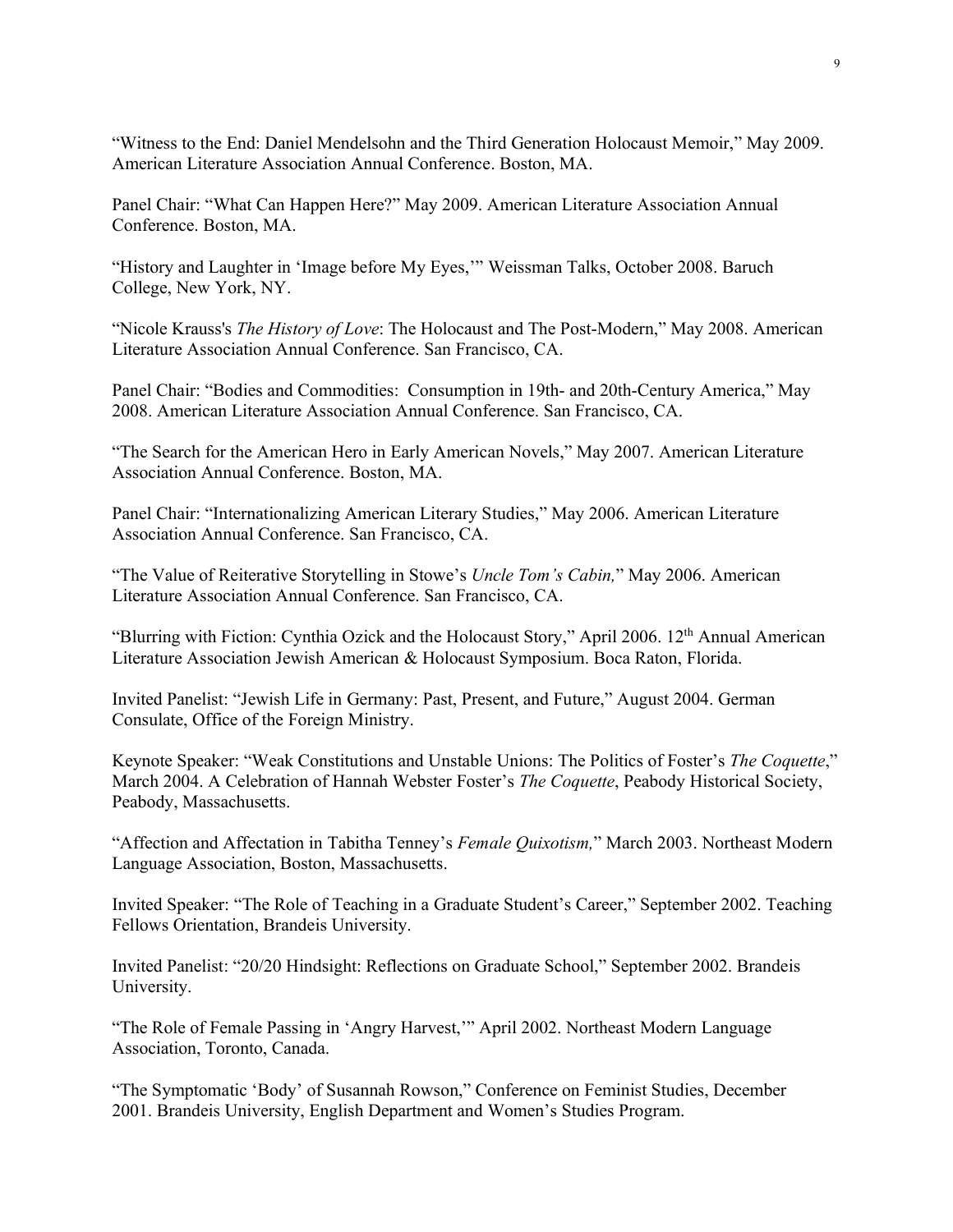"Witness to the End: Daniel Mendelsohn and the Third Generation Holocaust Memoir," May 2009. American Literature Association Annual Conference. Boston, MA.

Panel Chair: "What Can Happen Here?" May 2009. American Literature Association Annual Conference. Boston, MA.

"History and Laughter in 'Image before My Eyes,'" Weissman Talks, October 2008. Baruch College, New York, NY.

"Nicole Krauss's *The History of Love*: The Holocaust and The Post-Modern," May 2008. American Literature Association Annual Conference. San Francisco, CA.

Panel Chair: "Bodies and Commodities: Consumption in 19th- and 20th-Century America," May 2008. American Literature Association Annual Conference. San Francisco, CA.

"The Search for the American Hero in Early American Novels," May 2007. American Literature Association Annual Conference. Boston, MA.

Panel Chair: "Internationalizing American Literary Studies," May 2006. American Literature Association Annual Conference. San Francisco, CA.

"The Value of Reiterative Storytelling in Stowe's *Uncle Tom's Cabin,*" May 2006. American Literature Association Annual Conference. San Francisco, CA.

"Blurring with Fiction: Cynthia Ozick and the Holocaust Story," April 2006. 12<sup>th</sup> Annual American Literature Association Jewish American & Holocaust Symposium. Boca Raton, Florida.

Invited Panelist: "Jewish Life in Germany: Past, Present, and Future," August 2004. German Consulate, Office of the Foreign Ministry.

Keynote Speaker: "Weak Constitutions and Unstable Unions: The Politics of Foster's *The Coquette*," March 2004. A Celebration of Hannah Webster Foster's *The Coquette*, Peabody Historical Society, Peabody, Massachusetts.

"Affection and Affectation in Tabitha Tenney's *Female Quixotism,*" March 2003. Northeast Modern Language Association, Boston, Massachusetts.

Invited Speaker: "The Role of Teaching in a Graduate Student's Career," September 2002. Teaching Fellows Orientation, Brandeis University.

Invited Panelist: "20/20 Hindsight: Reflections on Graduate School," September 2002. Brandeis University.

"The Role of Female Passing in 'Angry Harvest,'" April 2002. Northeast Modern Language Association, Toronto, Canada.

"The Symptomatic 'Body' of Susannah Rowson," Conference on Feminist Studies, December 2001. Brandeis University, English Department and Women's Studies Program.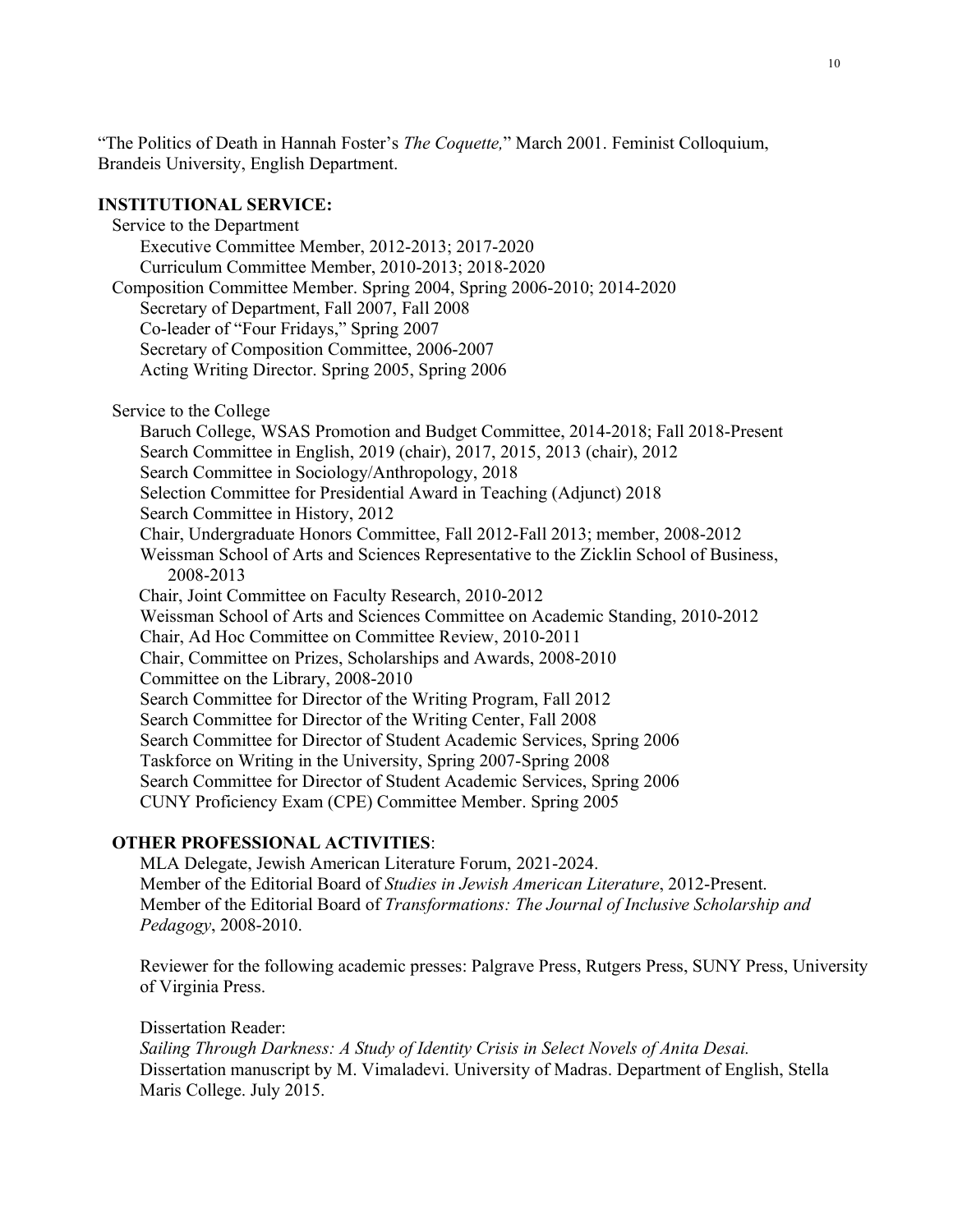"The Politics of Death in Hannah Foster's *The Coquette,*" March 2001. Feminist Colloquium, Brandeis University, English Department.

### **INSTITUTIONAL SERVICE:**

Service to the Department Executive Committee Member, 2012-2013; 2017-2020 Curriculum Committee Member, 2010-2013; 2018-2020 Composition Committee Member. Spring 2004, Spring 2006-2010; 2014-2020 Secretary of Department, Fall 2007, Fall 2008 Co-leader of "Four Fridays," Spring 2007 Secretary of Composition Committee, 2006-2007 Acting Writing Director. Spring 2005, Spring 2006 Service to the College Baruch College, WSAS Promotion and Budget Committee, 2014-2018; Fall 2018-Present Search Committee in English, 2019 (chair), 2017, 2015, 2013 (chair), 2012 Search Committee in Sociology/Anthropology, 2018 Selection Committee for Presidential Award in Teaching (Adjunct) 2018 Search Committee in History, 2012 Chair, Undergraduate Honors Committee, Fall 2012-Fall 2013; member, 2008-2012 Weissman School of Arts and Sciences Representative to the Zicklin School of Business, 2008-2013 Chair, Joint Committee on Faculty Research, 2010-2012 Weissman School of Arts and Sciences Committee on Academic Standing, 2010-2012 Chair, Ad Hoc Committee on Committee Review, 2010-2011 Chair, Committee on Prizes, Scholarships and Awards, 2008-2010 Committee on the Library, 2008-2010 Search Committee for Director of the Writing Program, Fall 2012 Search Committee for Director of the Writing Center, Fall 2008 Search Committee for Director of Student Academic Services, Spring 2006 Taskforce on Writing in the University, Spring 2007-Spring 2008 Search Committee for Director of Student Academic Services, Spring 2006 CUNY Proficiency Exam (CPE) Committee Member. Spring 2005

# **OTHER PROFESSIONAL ACTIVITIES**:

MLA Delegate, Jewish American Literature Forum, 2021-2024. Member of the Editorial Board of *Studies in Jewish American Literature*, 2012-Present. Member of the Editorial Board of *Transformations: The Journal of Inclusive Scholarship and Pedagogy*, 2008-2010.

Reviewer for the following academic presses: Palgrave Press, Rutgers Press, SUNY Press, University of Virginia Press.

### Dissertation Reader:

*Sailing Through Darkness: A Study of Identity Crisis in Select Novels of Anita Desai.* Dissertation manuscript by M. Vimaladevi. University of Madras. Department of English, Stella Maris College. July 2015.